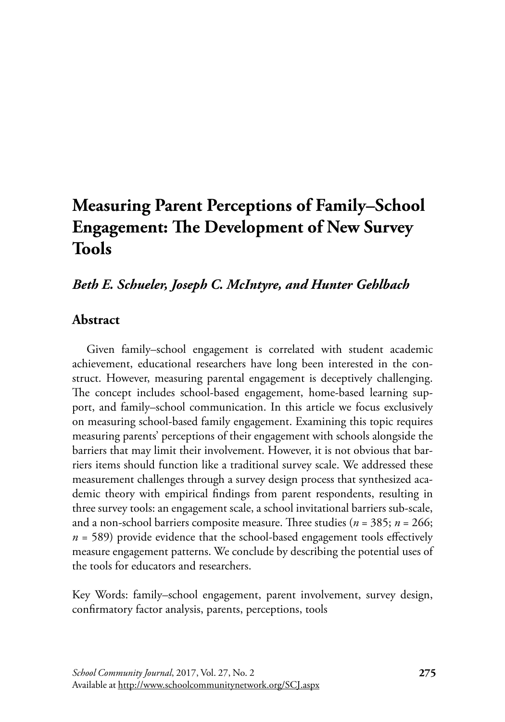# **Measuring Parent Perceptions of Family–School Engagement: The Development of New Survey Tools**

# *Beth E. Schueler, Joseph C. McIntyre, and Hunter Gehlbach*

# **Abstract**

Given family–school engagement is correlated with student academic achievement, educational researchers have long been interested in the construct. However, measuring parental engagement is deceptively challenging. The concept includes school-based engagement, home-based learning support, and family–school communication. In this article we focus exclusively on measuring school-based family engagement. Examining this topic requires measuring parents' perceptions of their engagement with schools alongside the barriers that may limit their involvement. However, it is not obvious that barriers items should function like a traditional survey scale. We addressed these measurement challenges through a survey design process that synthesized academic theory with empirical findings from parent respondents, resulting in three survey tools: an engagement scale, a school invitational barriers sub-scale, and a non-school barriers composite measure. Three studies (*n* = 385; *n* = 266; *n* = 589) provide evidence that the school-based engagement tools effectively measure engagement patterns. We conclude by describing the potential uses of the tools for educators and researchers.

Key Words: family–school engagement, parent involvement, survey design, confirmatory factor analysis, parents, perceptions, tools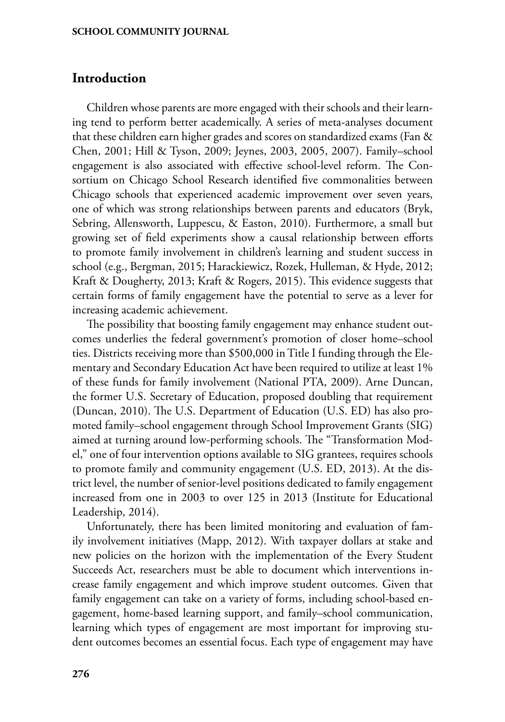## **Introduction**

Children whose parents are more engaged with their schools and their learning tend to perform better academically. A series of meta-analyses document that these children earn higher grades and scores on standardized exams (Fan & Chen, 2001; Hill & Tyson, 2009; Jeynes, 2003, 2005, 2007). Family–school engagement is also associated with effective school-level reform. The Consortium on Chicago School Research identified five commonalities between Chicago schools that experienced academic improvement over seven years, one of which was strong relationships between parents and educators (Bryk, Sebring, Allensworth, Luppescu, & Easton, 2010). Furthermore, a small but growing set of field experiments show a causal relationship between efforts to promote family involvement in children's learning and student success in school (e.g., Bergman, 2015; Harackiewicz, Rozek, Hulleman, & Hyde, 2012; Kraft & Dougherty, 2013; Kraft & Rogers, 2015). This evidence suggests that certain forms of family engagement have the potential to serve as a lever for increasing academic achievement.

The possibility that boosting family engagement may enhance student outcomes underlies the federal government's promotion of closer home–school ties. Districts receiving more than \$500,000 in Title I funding through the Elementary and Secondary Education Act have been required to utilize at least 1% of these funds for family involvement (National PTA, 2009). Arne Duncan, the former U.S. Secretary of Education, proposed doubling that requirement (Duncan, 2010). The U.S. Department of Education (U.S. ED) has also promoted family–school engagement through School Improvement Grants (SIG) aimed at turning around low-performing schools. The "Transformation Model," one of four intervention options available to SIG grantees, requires schools to promote family and community engagement (U.S. ED, 2013). At the district level, the number of senior-level positions dedicated to family engagement increased from one in 2003 to over 125 in 2013 (Institute for Educational Leadership, 2014).

Unfortunately, there has been limited monitoring and evaluation of family involvement initiatives (Mapp, 2012). With taxpayer dollars at stake and new policies on the horizon with the implementation of the Every Student Succeeds Act, researchers must be able to document which interventions increase family engagement and which improve student outcomes. Given that family engagement can take on a variety of forms, including school-based engagement, home-based learning support, and family–school communication, learning which types of engagement are most important for improving student outcomes becomes an essential focus. Each type of engagement may have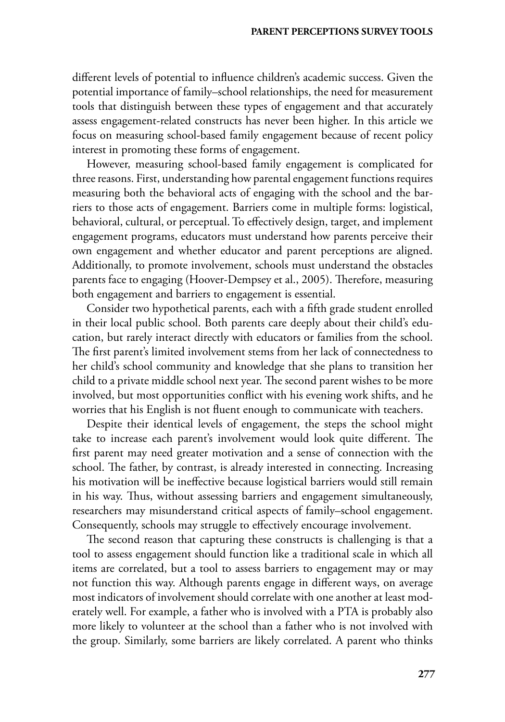different levels of potential to influence children's academic success. Given the potential importance of family–school relationships, the need for measurement tools that distinguish between these types of engagement and that accurately assess engagement-related constructs has never been higher. In this article we focus on measuring school-based family engagement because of recent policy interest in promoting these forms of engagement.

However, measuring school-based family engagement is complicated for three reasons. First, understanding how parental engagement functions requires measuring both the behavioral acts of engaging with the school and the barriers to those acts of engagement. Barriers come in multiple forms: logistical, behavioral, cultural, or perceptual. To effectively design, target, and implement engagement programs, educators must understand how parents perceive their own engagement and whether educator and parent perceptions are aligned. Additionally, to promote involvement, schools must understand the obstacles parents face to engaging (Hoover-Dempsey et al., 2005). Therefore, measuring both engagement and barriers to engagement is essential.

Consider two hypothetical parents, each with a fifth grade student enrolled in their local public school. Both parents care deeply about their child's education, but rarely interact directly with educators or families from the school. The first parent's limited involvement stems from her lack of connectedness to her child's school community and knowledge that she plans to transition her child to a private middle school next year. The second parent wishes to be more involved, but most opportunities conflict with his evening work shifts, and he worries that his English is not fluent enough to communicate with teachers.

Despite their identical levels of engagement, the steps the school might take to increase each parent's involvement would look quite different. The first parent may need greater motivation and a sense of connection with the school. The father, by contrast, is already interested in connecting. Increasing his motivation will be ineffective because logistical barriers would still remain in his way. Thus, without assessing barriers and engagement simultaneously, researchers may misunderstand critical aspects of family–school engagement. Consequently, schools may struggle to effectively encourage involvement.

The second reason that capturing these constructs is challenging is that a tool to assess engagement should function like a traditional scale in which all items are correlated, but a tool to assess barriers to engagement may or may not function this way. Although parents engage in different ways, on average most indicators of involvement should correlate with one another at least moderately well. For example, a father who is involved with a PTA is probably also more likely to volunteer at the school than a father who is not involved with the group. Similarly, some barriers are likely correlated. A parent who thinks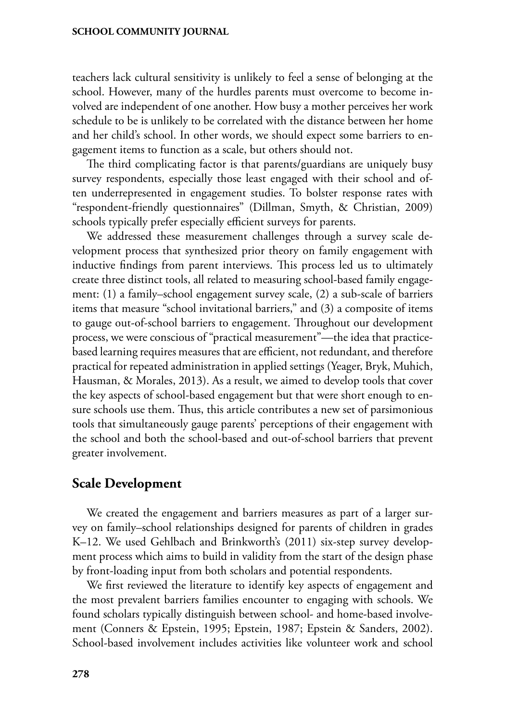teachers lack cultural sensitivity is unlikely to feel a sense of belonging at the school. However, many of the hurdles parents must overcome to become involved are independent of one another. How busy a mother perceives her work schedule to be is unlikely to be correlated with the distance between her home and her child's school. In other words, we should expect some barriers to engagement items to function as a scale, but others should not.

The third complicating factor is that parents/guardians are uniquely busy survey respondents, especially those least engaged with their school and often underrepresented in engagement studies. To bolster response rates with "respondent-friendly questionnaires" (Dillman, Smyth, & Christian, 2009) schools typically prefer especially efficient surveys for parents.

We addressed these measurement challenges through a survey scale development process that synthesized prior theory on family engagement with inductive findings from parent interviews. This process led us to ultimately create three distinct tools, all related to measuring school-based family engagement: (1) a family–school engagement survey scale, (2) a sub-scale of barriers items that measure "school invitational barriers," and (3) a composite of items to gauge out-of-school barriers to engagement. Throughout our development process, we were conscious of "practical measurement"—the idea that practicebased learning requires measures that are efficient, not redundant, and therefore practical for repeated administration in applied settings (Yeager, Bryk, Muhich, Hausman, & Morales, 2013). As a result, we aimed to develop tools that cover the key aspects of school-based engagement but that were short enough to ensure schools use them. Thus, this article contributes a new set of parsimonious tools that simultaneously gauge parents' perceptions of their engagement with the school and both the school-based and out-of-school barriers that prevent greater involvement.

## **Scale Development**

We created the engagement and barriers measures as part of a larger survey on family–school relationships designed for parents of children in grades K–12. We used Gehlbach and Brinkworth's (2011) six-step survey development process which aims to build in validity from the start of the design phase by front-loading input from both scholars and potential respondents.

We first reviewed the literature to identify key aspects of engagement and the most prevalent barriers families encounter to engaging with schools. We found scholars typically distinguish between school- and home-based involvement (Conners & Epstein, 1995; Epstein, 1987; Epstein & Sanders, 2002). School-based involvement includes activities like volunteer work and school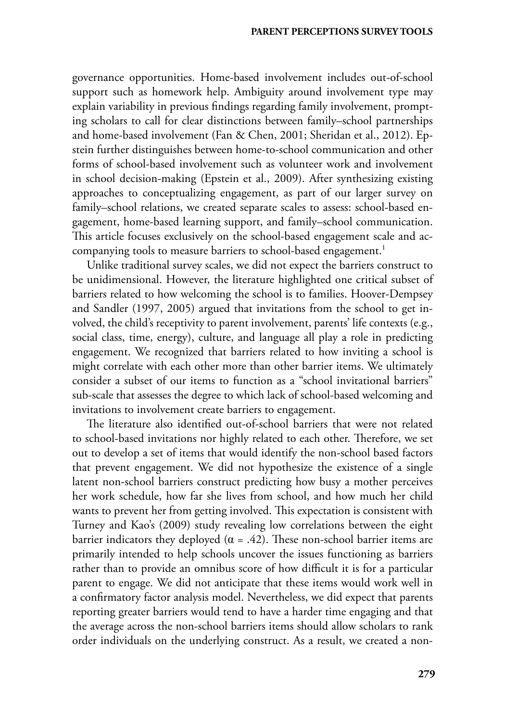governance opportunities. Home-based involvement includes out-of-school support such as homework help. Ambiguity around involvement type may explain variability in previous findings regarding family involvement, prompting scholars to call for clear distinctions between family–school partnerships and home-based involvement (Fan & Chen, 2001; Sheridan et al., 2012). Epstein further distinguishes between home-to-school communication and other forms of school-based involvement such as volunteer work and involvement in school decision-making (Epstein et al., 2009). After synthesizing existing approaches to conceptualizing engagement, as part of our larger survey on family–school relations, we created separate scales to assess: school-based engagement, home-based learning support, and family–school communication. This article focuses exclusively on the school-based engagement scale and accompanying tools to measure barriers to school-based engagement.<sup>1</sup>

Unlike traditional survey scales, we did not expect the barriers construct to be unidimensional. However, the literature highlighted one critical subset of barriers related to how welcoming the school is to families. Hoover-Dempsey and Sandler (1997, 2005) argued that invitations from the school to get involved, the child's receptivity to parent involvement, parents' life contexts (e.g., social class, time, energy), culture, and language all play a role in predicting engagement. We recognized that barriers related to how inviting a school is might correlate with each other more than other barrier items. We ultimately consider a subset of our items to function as a "school invitational barriers" sub-scale that assesses the degree to which lack of school-based welcoming and invitations to involvement create barriers to engagement.

The literature also identified out-of-school barriers that were not related to school-based invitations nor highly related to each other. Therefore, we set out to develop a set of items that would identify the non-school based factors that prevent engagement. We did not hypothesize the existence of a single latent non-school barriers construct predicting how busy a mother perceives her work schedule, how far she lives from school, and how much her child wants to prevent her from getting involved. This expectation is consistent with Turney and Kao's (2009) study revealing low correlations between the eight barrier indicators they deployed ( $\alpha$  = .42). These non-school barrier items are primarily intended to help schools uncover the issues functioning as barriers rather than to provide an omnibus score of how difficult it is for a particular parent to engage. We did not anticipate that these items would work well in a confirmatory factor analysis model. Nevertheless, we did expect that parents reporting greater barriers would tend to have a harder time engaging and that the average across the non-school barriers items should allow scholars to rank order individuals on the underlying construct. As a result, we created a non-

**279**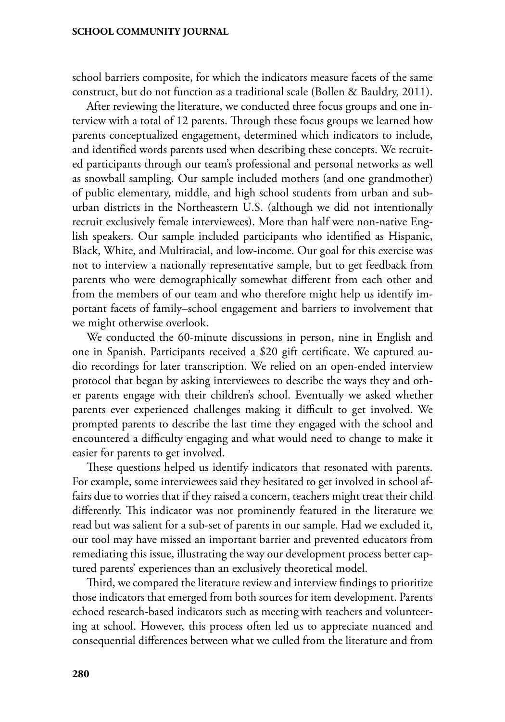school barriers composite, for which the indicators measure facets of the same construct, but do not function as a traditional scale (Bollen & Bauldry, 2011).

After reviewing the literature, we conducted three focus groups and one interview with a total of 12 parents. Through these focus groups we learned how parents conceptualized engagement, determined which indicators to include, and identified words parents used when describing these concepts. We recruited participants through our team's professional and personal networks as well as snowball sampling. Our sample included mothers (and one grandmother) of public elementary, middle, and high school students from urban and suburban districts in the Northeastern U.S. (although we did not intentionally recruit exclusively female interviewees). More than half were non-native English speakers. Our sample included participants who identified as Hispanic, Black, White, and Multiracial, and low-income. Our goal for this exercise was not to interview a nationally representative sample, but to get feedback from parents who were demographically somewhat different from each other and from the members of our team and who therefore might help us identify important facets of family–school engagement and barriers to involvement that we might otherwise overlook.

We conducted the 60-minute discussions in person, nine in English and one in Spanish. Participants received a \$20 gift certificate. We captured audio recordings for later transcription. We relied on an open-ended interview protocol that began by asking interviewees to describe the ways they and other parents engage with their children's school. Eventually we asked whether parents ever experienced challenges making it difficult to get involved. We prompted parents to describe the last time they engaged with the school and encountered a difficulty engaging and what would need to change to make it easier for parents to get involved.

These questions helped us identify indicators that resonated with parents. For example, some interviewees said they hesitated to get involved in school affairs due to worries that if they raised a concern, teachers might treat their child differently. This indicator was not prominently featured in the literature we read but was salient for a sub-set of parents in our sample. Had we excluded it, our tool may have missed an important barrier and prevented educators from remediating this issue, illustrating the way our development process better captured parents' experiences than an exclusively theoretical model.

Third, we compared the literature review and interview findings to prioritize those indicators that emerged from both sources for item development. Parents echoed research-based indicators such as meeting with teachers and volunteering at school. However, this process often led us to appreciate nuanced and consequential differences between what we culled from the literature and from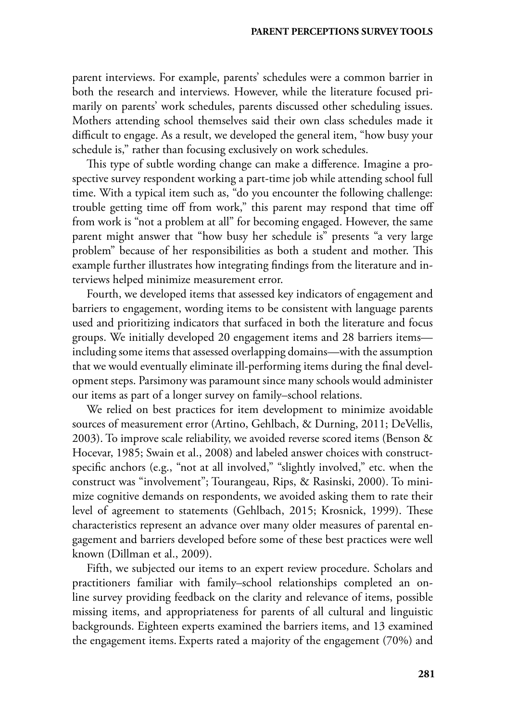parent interviews. For example, parents' schedules were a common barrier in both the research and interviews. However, while the literature focused primarily on parents' work schedules, parents discussed other scheduling issues. Mothers attending school themselves said their own class schedules made it difficult to engage. As a result, we developed the general item, "how busy your schedule is," rather than focusing exclusively on work schedules.

This type of subtle wording change can make a difference. Imagine a prospective survey respondent working a part-time job while attending school full time. With a typical item such as, "do you encounter the following challenge: trouble getting time off from work," this parent may respond that time off from work is "not a problem at all" for becoming engaged. However, the same parent might answer that "how busy her schedule is" presents "a very large problem" because of her responsibilities as both a student and mother. This example further illustrates how integrating findings from the literature and interviews helped minimize measurement error.

Fourth, we developed items that assessed key indicators of engagement and barriers to engagement, wording items to be consistent with language parents used and prioritizing indicators that surfaced in both the literature and focus groups. We initially developed 20 engagement items and 28 barriers items including some items that assessed overlapping domains—with the assumption that we would eventually eliminate ill-performing items during the final development steps. Parsimony was paramount since many schools would administer our items as part of a longer survey on family–school relations.

We relied on best practices for item development to minimize avoidable sources of measurement error (Artino, Gehlbach, & Durning, 2011; DeVellis, 2003). To improve scale reliability, we avoided reverse scored items (Benson & Hocevar, 1985; Swain et al., 2008) and labeled answer choices with constructspecific anchors (e.g., "not at all involved," "slightly involved," etc. when the construct was "involvement"; Tourangeau, Rips, & Rasinski, 2000). To minimize cognitive demands on respondents, we avoided asking them to rate their level of agreement to statements (Gehlbach, 2015; Krosnick, 1999). These characteristics represent an advance over many older measures of parental engagement and barriers developed before some of these best practices were well known (Dillman et al., 2009).

Fifth, we subjected our items to an expert review procedure. Scholars and practitioners familiar with family–school relationships completed an online survey providing feedback on the clarity and relevance of items, possible missing items, and appropriateness for parents of all cultural and linguistic backgrounds. Eighteen experts examined the barriers items, and 13 examined the engagement items. Experts rated a majority of the engagement (70%) and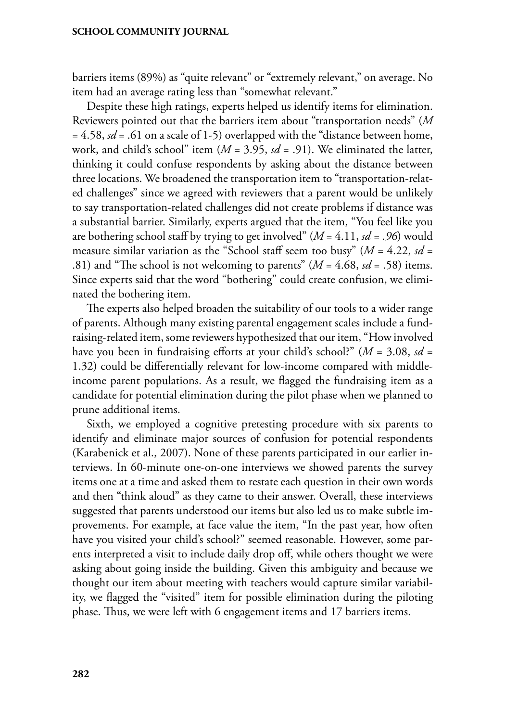barriers items (89%) as "quite relevant" or "extremely relevant," on average. No item had an average rating less than "somewhat relevant."

Despite these high ratings, experts helped us identify items for elimination. Reviewers pointed out that the barriers item about "transportation needs" (*M* = 4.58, *sd* = .61 on a scale of 1-5) overlapped with the "distance between home, work, and child's school" item (*M* = 3.95, *sd* = .91). We eliminated the latter, thinking it could confuse respondents by asking about the distance between three locations. We broadened the transportation item to "transportation-related challenges" since we agreed with reviewers that a parent would be unlikely to say transportation-related challenges did not create problems if distance was a substantial barrier. Similarly, experts argued that the item, "You feel like you are bothering school staff by trying to get involved" (*M* = 4.11, *sd = .96*) would measure similar variation as the "School staff seem too busy" (*M* = 4.22, *sd* = .81) and "The school is not welcoming to parents" (*M* = 4.68, *sd* = .58) items. Since experts said that the word "bothering" could create confusion, we eliminated the bothering item.

The experts also helped broaden the suitability of our tools to a wider range of parents. Although many existing parental engagement scales include a fundraising-related item, some reviewers hypothesized that our item, "How involved have you been in fundraising efforts at your child's school?" (*M* = 3.08, *sd* = 1.32) could be differentially relevant for low-income compared with middleincome parent populations. As a result, we flagged the fundraising item as a candidate for potential elimination during the pilot phase when we planned to prune additional items.

Sixth, we employed a cognitive pretesting procedure with six parents to identify and eliminate major sources of confusion for potential respondents (Karabenick et al., 2007). None of these parents participated in our earlier interviews. In 60-minute one-on-one interviews we showed parents the survey items one at a time and asked them to restate each question in their own words and then "think aloud" as they came to their answer. Overall, these interviews suggested that parents understood our items but also led us to make subtle improvements. For example, at face value the item, "In the past year, how often have you visited your child's school?" seemed reasonable. However, some parents interpreted a visit to include daily drop off, while others thought we were asking about going inside the building. Given this ambiguity and because we thought our item about meeting with teachers would capture similar variability, we flagged the "visited" item for possible elimination during the piloting phase. Thus, we were left with 6 engagement items and 17 barriers items.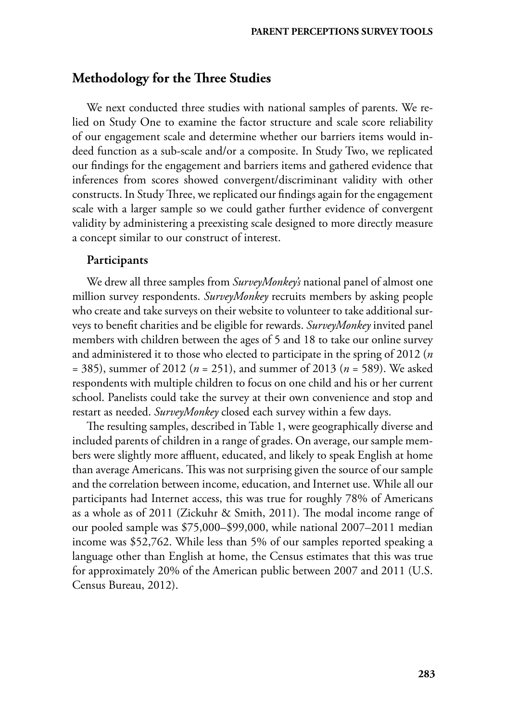## **Methodology for the Three Studies**

We next conducted three studies with national samples of parents. We relied on Study One to examine the factor structure and scale score reliability of our engagement scale and determine whether our barriers items would indeed function as a sub-scale and/or a composite. In Study Two, we replicated our findings for the engagement and barriers items and gathered evidence that inferences from scores showed convergent/discriminant validity with other constructs. In Study Three, we replicated our findings again for the engagement scale with a larger sample so we could gather further evidence of convergent validity by administering a preexisting scale designed to more directly measure a concept similar to our construct of interest.

## Participants

We drew all three samples from *SurveyMonkey's* national panel of almost one million survey respondents. *SurveyMonkey* recruits members by asking people who create and take surveys on their website to volunteer to take additional surveys to benefit charities and be eligible for rewards. *SurveyMonkey* invited panel members with children between the ages of 5 and 18 to take our online survey and administered it to those who elected to participate in the spring of 2012 (*n*  = 385), summer of 2012 (*n* = 251), and summer of 2013 (*n* = 589). We asked respondents with multiple children to focus on one child and his or her current school. Panelists could take the survey at their own convenience and stop and restart as needed. *SurveyMonkey* closed each survey within a few days.

The resulting samples, described in Table 1, were geographically diverse and included parents of children in a range of grades. On average, our sample members were slightly more affluent, educated, and likely to speak English at home than average Americans. This was not surprising given the source of our sample and the correlation between income, education, and Internet use. While all our participants had Internet access, this was true for roughly 78% of Americans as a whole as of 2011 (Zickuhr & Smith, 2011). The modal income range of our pooled sample was \$75,000–\$99,000, while national 2007–2011 median income was \$52,762. While less than 5% of our samples reported speaking a language other than English at home, the Census estimates that this was true for approximately 20% of the American public between 2007 and 2011 (U.S. Census Bureau, 2012).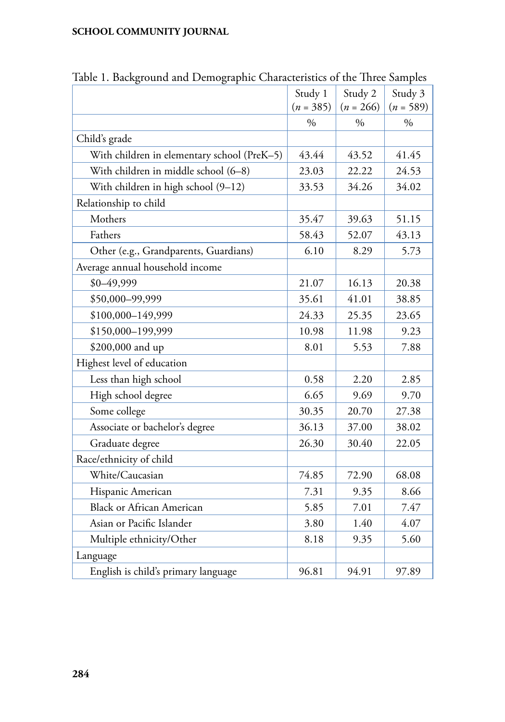| raoic 1. Daenground and Demographic Characteristics of the Tinee Samples |             |             |             |
|--------------------------------------------------------------------------|-------------|-------------|-------------|
|                                                                          | Study 1     | Study 2     | Study 3     |
|                                                                          | $(n = 385)$ | $(n = 266)$ | $(n = 589)$ |
|                                                                          | $\%$        | $\%$        | $\%$        |
| Child's grade                                                            |             |             |             |
| With children in elementary school (PreK-5)                              | 43.44       | 43.52       | 41.45       |
| With children in middle school (6-8)                                     | 23.03       | 22.22       | 24.53       |
| With children in high school (9-12)                                      | 33.53       | 34.26       | 34.02       |
| Relationship to child                                                    |             |             |             |
| Mothers                                                                  | 35.47       | 39.63       | 51.15       |
| Fathers                                                                  | 58.43       | 52.07       | 43.13       |
| Other (e.g., Grandparents, Guardians)                                    | 6.10        | 8.29        | 5.73        |
| Average annual household income                                          |             |             |             |
| \$0-49,999                                                               | 21.07       | 16.13       | 20.38       |
| \$50,000-99,999                                                          | 35.61       | 41.01       | 38.85       |
| \$100,000-149,999                                                        | 24.33       | 25.35       | 23.65       |
| \$150,000-199,999                                                        | 10.98       | 11.98       | 9.23        |
| \$200,000 and up                                                         | 8.01        | 5.53        | 7.88        |
| Highest level of education                                               |             |             |             |
| Less than high school                                                    | 0.58        | 2.20        | 2.85        |
| High school degree                                                       | 6.65        | 9.69        | 9.70        |
| Some college                                                             | 30.35       | 20.70       | 27.38       |
| Associate or bachelor's degree                                           | 36.13       | 37.00       | 38.02       |
| Graduate degree                                                          | 26.30       | 30.40       | 22.05       |
| Race/ethnicity of child                                                  |             |             |             |
| White/Caucasian                                                          | 74.85       | 72.90       | 68.08       |
| Hispanic American                                                        | 7.31        | 9.35        | 8.66        |
| <b>Black or African American</b>                                         | 5.85        | 7.01        | 7.47        |
| Asian or Pacific Islander                                                | 3.80        | 1.40        | 4.07        |
| Multiple ethnicity/Other                                                 | 8.18        | 9.35        | 5.60        |
| Language                                                                 |             |             |             |
| English is child's primary language                                      | 96.81       | 94.91       | 97.89       |

Table 1. Background and Demographic Characteristics of the Three Samples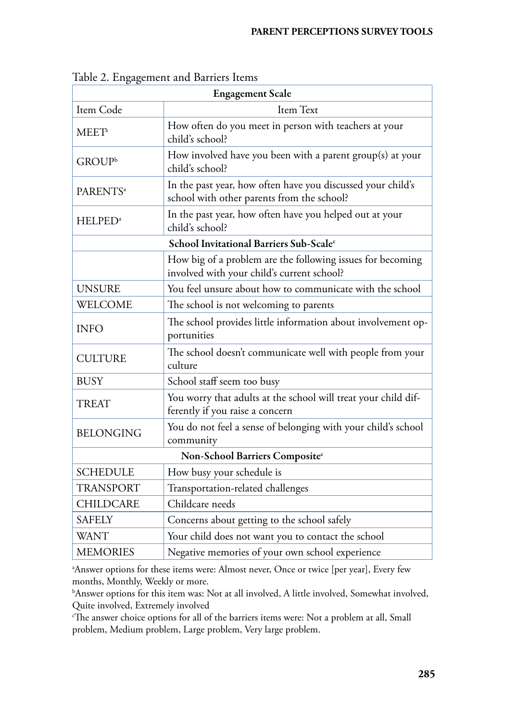|                      | <b>Engagement Scale</b>                                                                                   |
|----------------------|-----------------------------------------------------------------------------------------------------------|
| Item Code            | Item Text                                                                                                 |
| MEET <sup>a</sup>    | How often do you meet in person with teachers at your<br>child's school?                                  |
| GROUP <sup>b</sup>   | How involved have you been with a parent group(s) at your<br>child's school?                              |
| PARENTS <sup>a</sup> | In the past year, how often have you discussed your child's<br>school with other parents from the school? |
| HELPED <sup>a</sup>  | In the past year, how often have you helped out at your<br>child's school?                                |
|                      | School Invitational Barriers Sub-Scalec                                                                   |
|                      | How big of a problem are the following issues for becoming<br>involved with your child's current school?  |
| <b>UNSURE</b>        | You feel unsure about how to communicate with the school                                                  |
| WELCOME              | The school is not welcoming to parents                                                                    |
| <b>INFO</b>          | The school provides little information about involvement op-<br>portunities                               |
| <b>CULTURE</b>       | The school doesn't communicate well with people from your<br>culture                                      |
| <b>BUSY</b>          | School staff seem too busy                                                                                |
| <b>TREAT</b>         | You worry that adults at the school will treat your child dif-<br>ferently if you raise a concern         |
| <b>BELONGING</b>     | You do not feel a sense of belonging with your child's school<br>community                                |
|                      | Non-School Barriers Composite <sup>c</sup>                                                                |
| <b>SCHEDULE</b>      | How busy your schedule is                                                                                 |
| <b>TRANSPORT</b>     | Transportation-related challenges                                                                         |
| CHILDCARE            | Childcare needs                                                                                           |
| <b>SAFELY</b>        | Concerns about getting to the school safely                                                               |
| <b>WANT</b>          | Your child does not want you to contact the school                                                        |
| <b>MEMORIES</b>      | Negative memories of your own school experience                                                           |

Table 2. Engagement and Barriers Items

a Answer options for these items were: Almost never, Once or twice [per year], Every few months, Monthly, Weekly or more.

b Answer options for this item was: Not at all involved, A little involved, Somewhat involved, Quite involved, Extremely involved

 $\epsilon$ The answer choice options for all of the barriers items were: Not a problem at all, Small problem, Medium problem, Large problem, Very large problem.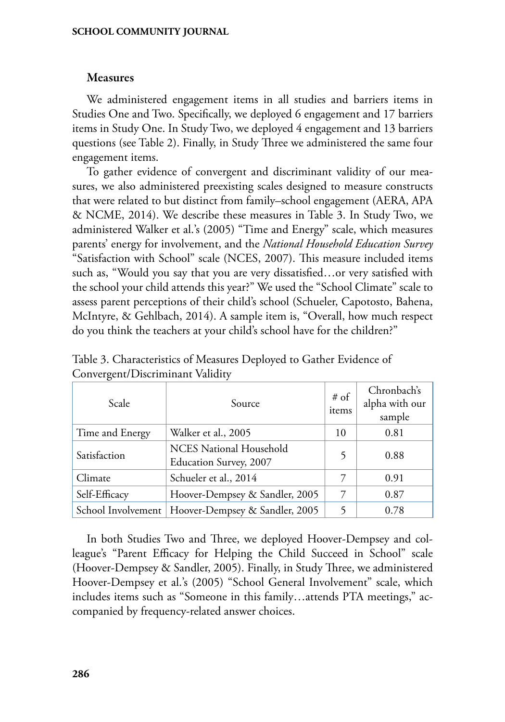## Measures

We administered engagement items in all studies and barriers items in Studies One and Two. Specifically, we deployed 6 engagement and 17 barriers items in Study One. In Study Two, we deployed 4 engagement and 13 barriers questions (see Table 2). Finally, in Study Three we administered the same four engagement items.

To gather evidence of convergent and discriminant validity of our measures, we also administered preexisting scales designed to measure constructs that were related to but distinct from family–school engagement (AERA, APA & NCME, 2014). We describe these measures in Table 3. In Study Two, we administered Walker et al.'s (2005) "Time and Energy" scale, which measures parents' energy for involvement, and the *National Household Education Survey* "Satisfaction with School" scale (NCES, 2007). This measure included items such as, "Would you say that you are very dissatisfied…or very satisfied with the school your child attends this year?" We used the "School Climate" scale to assess parent perceptions of their child's school (Schueler, Capotosto, Bahena, McIntyre, & Gehlbach, 2014). A sample item is, "Overall, how much respect do you think the teachers at your child's school have for the children?"

| Scale              | Source                                                   | $# \circ f$<br>items | Chronbach's<br>alpha with our<br>sample |
|--------------------|----------------------------------------------------------|----------------------|-----------------------------------------|
| Time and Energy    | Walker et al., 2005                                      | 10                   | 0.81                                    |
| Satisfaction       | <b>NCES National Household</b><br>Education Survey, 2007 | 5                    | 0.88                                    |
| Climate            | Schueler et al., 2014                                    | 7                    | 0.91                                    |
| Self-Efficacy      | Hoover-Dempsey & Sandler, 2005                           | 7                    | 0.87                                    |
| School Involvement | Hoover-Dempsey & Sandler, 2005                           | 5                    | 0.78                                    |

Table 3. Characteristics of Measures Deployed to Gather Evidence of Convergent/Discriminant Validity

In both Studies Two and Three, we deployed Hoover-Dempsey and colleague's "Parent Efficacy for Helping the Child Succeed in School" scale (Hoover-Dempsey & Sandler, 2005). Finally, in Study Three, we administered Hoover-Dempsey et al.'s (2005) "School General Involvement" scale, which includes items such as "Someone in this family…attends PTA meetings," accompanied by frequency-related answer choices.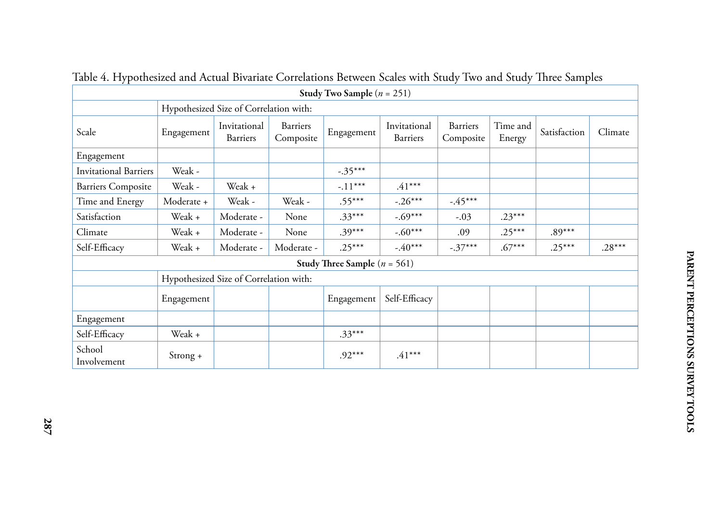|                              |            |                                        |                       | Study Two Sample $(n = 251)$     |                                 |                       |                    |              |          |
|------------------------------|------------|----------------------------------------|-----------------------|----------------------------------|---------------------------------|-----------------------|--------------------|--------------|----------|
|                              |            | Hypothesized Size of Correlation with: |                       |                                  |                                 |                       |                    |              |          |
| Scale                        | Engagement | Invitational<br>Barriers               | Barriers<br>Composite | Engagement                       | Invitational<br><b>Barriers</b> | Barriers<br>Composite | Time and<br>Energy | Satisfaction | Climate  |
| Engagement                   |            |                                        |                       |                                  |                                 |                       |                    |              |          |
| <b>Invitational Barriers</b> | Weak -     |                                        |                       | $-.35***$                        |                                 |                       |                    |              |          |
| <b>Barriers Composite</b>    | Weak -     | Weak +                                 |                       | $-.11***$                        | $.41***$                        |                       |                    |              |          |
| Time and Energy              | Moderate + | Weak -                                 | Weak -                | $.55***$                         | $-.26***$                       | $-.45***$             |                    |              |          |
| Satisfaction                 | Weak +     | Moderate -                             | None                  | $.33***$                         | $-.69***$                       | $-.03$                | $.23***$           |              |          |
| Climate                      | Weak +     | Moderate -                             | None                  | $.39***$                         | $-.60***$                       | .09                   | $.25***$           | $.89***$     |          |
| Self-Efficacy                | Weak +     | Moderate -                             | Moderate -            | $.25***$                         | $-40***$                        | $-.37***$             | $.67***$           | $.25***$     | $.28***$ |
|                              |            |                                        |                       | Study Three Sample ( $n = 561$ ) |                                 |                       |                    |              |          |
|                              |            | Hypothesized Size of Correlation with: |                       |                                  |                                 |                       |                    |              |          |
|                              | Engagement |                                        |                       | Engagement                       | Self-Efficacy                   |                       |                    |              |          |
| Engagement                   |            |                                        |                       |                                  |                                 |                       |                    |              |          |
| Self-Efficacy                | Weak +     |                                        |                       | $.33***$                         |                                 |                       |                    |              |          |
| School<br>Involvement        | $Strong +$ |                                        |                       | $.92***$                         | $.41***$                        |                       |                    |              |          |

Table 4. Hypothesized and Actual Bivariate Correlations Between Scales with Study Two and Study Three Samples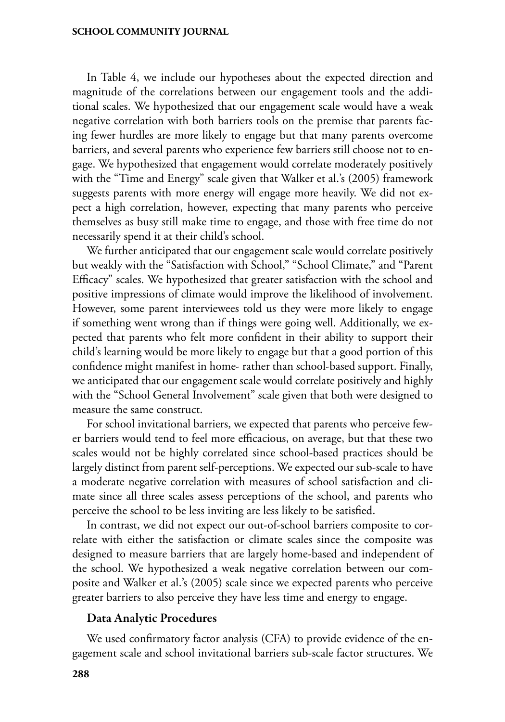In Table 4, we include our hypotheses about the expected direction and magnitude of the correlations between our engagement tools and the additional scales. We hypothesized that our engagement scale would have a weak negative correlation with both barriers tools on the premise that parents facing fewer hurdles are more likely to engage but that many parents overcome barriers, and several parents who experience few barriers still choose not to engage. We hypothesized that engagement would correlate moderately positively with the "Time and Energy" scale given that Walker et al.'s (2005) framework suggests parents with more energy will engage more heavily. We did not expect a high correlation, however, expecting that many parents who perceive themselves as busy still make time to engage, and those with free time do not necessarily spend it at their child's school.

We further anticipated that our engagement scale would correlate positively but weakly with the "Satisfaction with School," "School Climate," and "Parent Efficacy" scales. We hypothesized that greater satisfaction with the school and positive impressions of climate would improve the likelihood of involvement. However, some parent interviewees told us they were more likely to engage if something went wrong than if things were going well. Additionally, we expected that parents who felt more confident in their ability to support their child's learning would be more likely to engage but that a good portion of this confidence might manifest in home- rather than school-based support. Finally, we anticipated that our engagement scale would correlate positively and highly with the "School General Involvement" scale given that both were designed to measure the same construct.

For school invitational barriers, we expected that parents who perceive fewer barriers would tend to feel more efficacious, on average, but that these two scales would not be highly correlated since school-based practices should be largely distinct from parent self-perceptions. We expected our sub-scale to have a moderate negative correlation with measures of school satisfaction and climate since all three scales assess perceptions of the school, and parents who perceive the school to be less inviting are less likely to be satisfied.

In contrast, we did not expect our out-of-school barriers composite to correlate with either the satisfaction or climate scales since the composite was designed to measure barriers that are largely home-based and independent of the school. We hypothesized a weak negative correlation between our composite and Walker et al.'s (2005) scale since we expected parents who perceive greater barriers to also perceive they have less time and energy to engage.

#### Data Analytic Procedures

We used confirmatory factor analysis (CFA) to provide evidence of the engagement scale and school invitational barriers sub-scale factor structures. We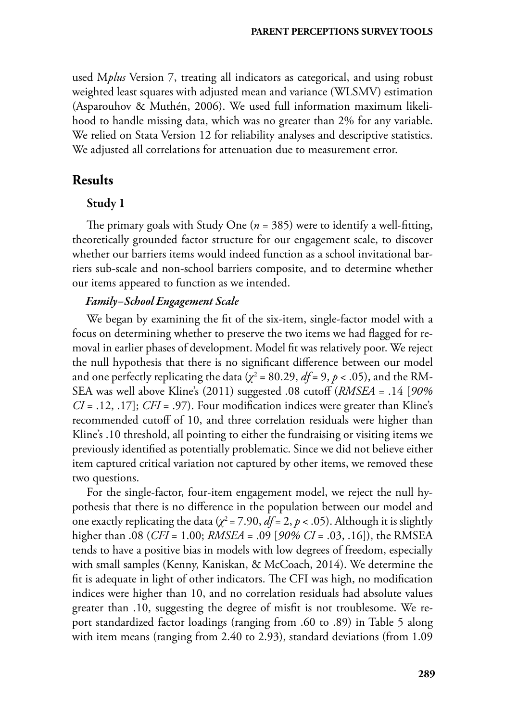used M*plus* Version 7, treating all indicators as categorical, and using robust weighted least squares with adjusted mean and variance (WLSMV) estimation (Asparouhov & Muthén, 2006). We used full information maximum likelihood to handle missing data, which was no greater than 2% for any variable. We relied on Stata Version 12 for reliability analyses and descriptive statistics. We adjusted all correlations for attenuation due to measurement error.

## **Results**

## Study 1

The primary goals with Study One (*n* = 385) were to identify a well-fitting, theoretically grounded factor structure for our engagement scale, to discover whether our barriers items would indeed function as a school invitational barriers sub-scale and non-school barriers composite, and to determine whether our items appeared to function as we intended.

## *Family–School Engagement Scale*

We began by examining the fit of the six-item, single-factor model with a focus on determining whether to preserve the two items we had flagged for removal in earlier phases of development. Model fit was relatively poor. We reject the null hypothesis that there is no significant difference between our model and one perfectly replicating the data ( $\chi^2$  = 80.29, *df* = 9, *p* < .05), and the RM-SEA was well above Kline's (2011) suggested .08 cutoff (*RMSEA* = .14 [*90% CI* = .12, .17]; *CFI* = .97). Four modification indices were greater than Kline's recommended cutoff of 10, and three correlation residuals were higher than Kline's .10 threshold, all pointing to either the fundraising or visiting items we previously identified as potentially problematic. Since we did not believe either item captured critical variation not captured by other items, we removed these two questions.

For the single-factor, four-item engagement model, we reject the null hypothesis that there is no difference in the population between our model and one exactly replicating the data ( $\chi^2$  = 7.90, *df* = 2, *p* < .05). Although it is slightly higher than .08 (*CFI* = 1.00; *RMSEA* = .09 [*90% CI* = .03, .16]), the RMSEA tends to have a positive bias in models with low degrees of freedom, especially with small samples (Kenny, Kaniskan, & McCoach, 2014). We determine the fit is adequate in light of other indicators. The CFI was high, no modification indices were higher than 10, and no correlation residuals had absolute values greater than .10, suggesting the degree of misfit is not troublesome. We report standardized factor loadings (ranging from .60 to .89) in Table 5 along with item means (ranging from 2.40 to 2.93), standard deviations (from 1.09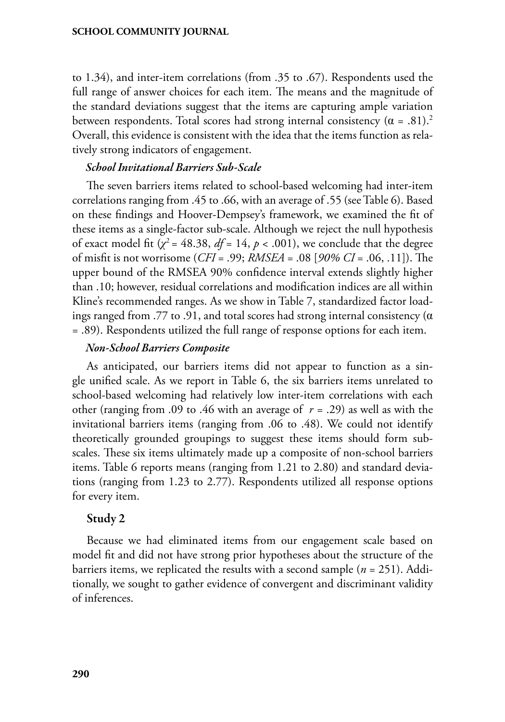to 1.34), and inter-item correlations (from .35 to .67). Respondents used the full range of answer choices for each item. The means and the magnitude of the standard deviations suggest that the items are capturing ample variation between respondents. Total scores had strong internal consistency  $(\alpha = .81).$ <sup>2</sup> Overall, this evidence is consistent with the idea that the items function as relatively strong indicators of engagement.

### *School Invitational Barriers Sub-Scale*

The seven barriers items related to school-based welcoming had inter-item correlations ranging from .45 to .66, with an average of .55 (see Table 6). Based on these findings and Hoover-Dempsey's framework, we examined the fit of these items as a single-factor sub-scale. Although we reject the null hypothesis of exact model fit  $(\chi^2 = 48.38, df = 14, p < .001)$ , we conclude that the degree of misfit is not worrisome (*CFI* = .99; *RMSEA* = .08 [*90% CI* = .06, .11]). The upper bound of the RMSEA 90% confidence interval extends slightly higher than .10; however, residual correlations and modification indices are all within Kline's recommended ranges. As we show in Table 7, standardized factor loadings ranged from .77 to .91, and total scores had strong internal consistency ( $\alpha$ = .89). Respondents utilized the full range of response options for each item.

#### *Non-School Barriers Composite*

As anticipated, our barriers items did not appear to function as a single unified scale. As we report in Table 6, the six barriers items unrelated to school-based welcoming had relatively low inter-item correlations with each other (ranging from .09 to .46 with an average of *r =* .29) as well as with the invitational barriers items (ranging from .06 to .48). We could not identify theoretically grounded groupings to suggest these items should form subscales. These six items ultimately made up a composite of non-school barriers items. Table 6 reports means (ranging from 1.21 to 2.80) and standard deviations (ranging from 1.23 to 2.77). Respondents utilized all response options for every item.

### Study 2

Because we had eliminated items from our engagement scale based on model fit and did not have strong prior hypotheses about the structure of the barriers items, we replicated the results with a second sample (*n* = 251). Additionally, we sought to gather evidence of convergent and discriminant validity of inferences.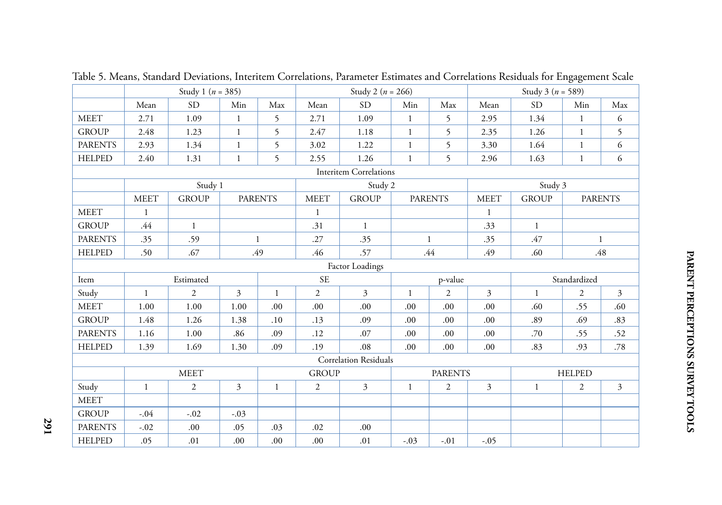|                |              | Study 1 ( $n = 385$ ) |                |                |                | Study 2 ( $n = 266$ )         |              |                |                         | Study 3 ( $n = 589$ ) |                  |                |  |
|----------------|--------------|-----------------------|----------------|----------------|----------------|-------------------------------|--------------|----------------|-------------------------|-----------------------|------------------|----------------|--|
|                | Mean         | <b>SD</b>             | Min            | Max            | Mean           | <b>SD</b>                     | Min          | Max            | Mean                    | <b>SD</b>             | Min              | Max            |  |
| <b>MEET</b>    | 2.71         | 1.09                  | $\mathbf{1}$   | 5              | 2.71           | 1.09                          | $\mathbf{1}$ | 5              | 2.95                    | 1.34                  | $\mathbf{1}$     | 6              |  |
| <b>GROUP</b>   | 2.48         | 1.23                  | $\mathbf{1}$   | 5              | 2.47           | 1.18                          | $\mathbf{1}$ | 5              | 2.35                    | 1.26                  | $\mathbf{1}$     | 5              |  |
| <b>PARENTS</b> | 2.93         | 1.34                  | $\mathbf{1}$   | 5              | 3.02           | 1.22                          | $\mathbf{1}$ | 5              | 3.30                    | 1.64                  | $\mathbf{1}$     | 6              |  |
| <b>HELPED</b>  | 2.40         | 1.31                  | $\mathbf{1}$   | 5              | 2.55           | 1.26                          | $\mathbf{1}$ | 5              | 2.96                    | 1.63                  | $\mathbf{1}$     | 6              |  |
|                |              |                       |                |                |                | <b>Interitem Correlations</b> |              |                |                         |                       |                  |                |  |
|                |              | Study 1               |                |                |                | Study 2                       |              |                |                         | Study 3               |                  |                |  |
|                | <b>MEET</b>  | <b>GROUP</b>          |                | <b>PARENTS</b> | <b>MEET</b>    | <b>GROUP</b>                  |              |                | <b>MEET</b>             | <b>GROUP</b>          |                  | <b>PARENTS</b> |  |
| <b>MEET</b>    | $\mathbf{1}$ |                       |                |                | $\mathbf{1}$   | <b>PARENTS</b>                |              | $\mathbf{1}$   |                         |                       |                  |                |  |
| <b>GROUP</b>   | .44          | $\mathbf{1}$          |                |                | .31            | $\mathbf{1}$                  |              |                | .33                     | $\mathbf{1}$          |                  |                |  |
| <b>PARENTS</b> | .35          | .59                   |                | $\mathbf{1}$   | .27            | .35                           |              | $\mathbf{1}$   | .35                     | .47                   |                  | $\mathbf{1}$   |  |
| <b>HELPED</b>  | .50          | .67                   |                | .49            | .46            | .57                           |              | .44            | .49                     | .60                   |                  | .48            |  |
|                |              |                       |                |                |                | Factor Loadings               |              |                |                         |                       |                  |                |  |
| Item           |              | Estimated             |                |                | <b>SE</b>      |                               |              | p-value        | Standardized            |                       |                  |                |  |
| Study          | $\mathbf{1}$ | $\mathbf{2}$          | $\overline{3}$ | $\mathbf{1}$   | $\overline{2}$ | $\overline{3}$                | $\mathbf{1}$ | 2              | $\overline{3}$          | $\mathbf{1}$          | $\boldsymbol{2}$ | $\overline{3}$ |  |
| <b>MEET</b>    | 1.00         | 1.00                  | 1.00           | .00.           | .00            | .00                           | .00.         | .00            | .00                     | .60                   | .55              | .60            |  |
| <b>GROUP</b>   | 1.48         | 1.26                  | 1.38           | .10            | .13            | .09                           | .00          | .00            | .00                     | .89                   | .69              | .83            |  |
| <b>PARENTS</b> | 1.16         | 1.00                  | .86            | .09            | .12            | .07                           | .00.         | .00            | .00                     | .70                   | .55              | .52            |  |
| <b>HELPED</b>  | 1.39         | 1.69                  | 1.30           | .09            | .19            | $.08\,$                       | .00          | .00            | .00.                    | .83                   | .93              | .78            |  |
|                |              |                       |                |                |                | Correlation Residuals         |              |                |                         |                       |                  |                |  |
|                |              | <b>MEET</b>           |                |                | <b>GROUP</b>   |                               |              | <b>PARENTS</b> |                         | <b>HELPED</b>         |                  |                |  |
| Study          | $\mathbf{1}$ | $\boldsymbol{2}$      | $\mathfrak{Z}$ | $\mathbf{1}$   | $\overline{2}$ | $\overline{3}$                | $\mathbf{1}$ | 2              | $\overline{\mathbf{3}}$ | $\mathbf{1}$          | $\boldsymbol{2}$ | 3              |  |
| <b>MEET</b>    |              |                       |                |                |                |                               |              |                |                         |                       |                  |                |  |
| <b>GROUP</b>   | $-.04$       | $-.02$                | $-.03$         |                |                |                               |              |                |                         |                       |                  |                |  |
| <b>PARENTS</b> | $-.02$       | .00.                  | .05            | .03            | .02            | .00                           |              |                |                         |                       |                  |                |  |
| <b>HELPED</b>  | .05          | .01                   | .00            | .00            | .00            | .01                           | $-.03$       | $-.01$         | $-.05$                  |                       |                  |                |  |

Table 5. Means, Standard Deviations, Interitem Correlations, Parameter Estimates and Correlations Residuals for Engagement Scale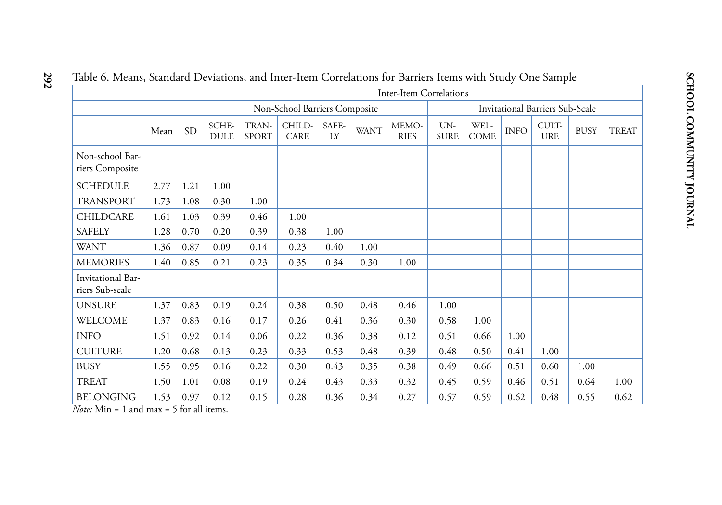| labic 0. ivicalis, standard Deviations, and mice-nem Contelations for Daniers hems with study One sample |      |           |                      |                       |                               |             |             |                                |                    |                     |             |                                        |             |              |
|----------------------------------------------------------------------------------------------------------|------|-----------|----------------------|-----------------------|-------------------------------|-------------|-------------|--------------------------------|--------------------|---------------------|-------------|----------------------------------------|-------------|--------------|
|                                                                                                          |      |           |                      |                       |                               |             |             | <b>Inter-Item Correlations</b> |                    |                     |             |                                        |             |              |
|                                                                                                          |      |           |                      |                       | Non-School Barriers Composite |             |             |                                |                    |                     |             | <b>Invitational Barriers Sub-Scale</b> |             |              |
|                                                                                                          | Mean | <b>SD</b> | SCHE-<br><b>DULE</b> | TRAN-<br><b>SPORT</b> | CHILD-<br><b>CARE</b>         | SAFE-<br>LY | <b>WANT</b> | MEMO-<br><b>RIES</b>           | UN-<br><b>SURE</b> | WEL-<br><b>COME</b> | <b>INFO</b> | CULT-<br><b>URE</b>                    | <b>BUSY</b> | <b>TREAT</b> |
| Non-school Bar-<br>riers Composite                                                                       |      |           |                      |                       |                               |             |             |                                |                    |                     |             |                                        |             |              |
| <b>SCHEDULE</b>                                                                                          | 2.77 | 1.21      | 1.00                 |                       |                               |             |             |                                |                    |                     |             |                                        |             |              |
| <b>TRANSPORT</b>                                                                                         | 1.73 | 1.08      | 0.30                 | 1.00                  |                               |             |             |                                |                    |                     |             |                                        |             |              |
| <b>CHILDCARE</b>                                                                                         | 1.61 | 1.03      | 0.39                 | 0.46                  | 1.00                          |             |             |                                |                    |                     |             |                                        |             |              |
| <b>SAFELY</b>                                                                                            | 1.28 | 0.70      | 0.20                 | 0.39                  | 0.38                          | 1.00        |             |                                |                    |                     |             |                                        |             |              |
| <b>WANT</b>                                                                                              | 1.36 | 0.87      | 0.09                 | 0.14                  | 0.23                          | 0.40        | 1.00        |                                |                    |                     |             |                                        |             |              |
| <b>MEMORIES</b>                                                                                          | 1.40 | 0.85      | 0.21                 | 0.23                  | 0.35                          | 0.34        | 0.30        | 1.00                           |                    |                     |             |                                        |             |              |
| Invitational Bar-<br>riers Sub-scale                                                                     |      |           |                      |                       |                               |             |             |                                |                    |                     |             |                                        |             |              |
| <b>UNSURE</b>                                                                                            | 1.37 | 0.83      | 0.19                 | 0.24                  | 0.38                          | 0.50        | 0.48        | 0.46                           | 1.00               |                     |             |                                        |             |              |
| WELCOME                                                                                                  | 1.37 | 0.83      | 0.16                 | 0.17                  | 0.26                          | 0.41        | 0.36        | 0.30                           | 0.58               | 1.00                |             |                                        |             |              |
| <b>INFO</b>                                                                                              | 1.51 | 0.92      | 0.14                 | 0.06                  | 0.22                          | 0.36        | 0.38        | 0.12                           | 0.51               | 0.66                | 1.00        |                                        |             |              |
| <b>CULTURE</b>                                                                                           | 1.20 | 0.68      | 0.13                 | 0.23                  | 0.33                          | 0.53        | 0.48        | 0.39                           | 0.48               | 0.50                | 0.41        | 1.00                                   |             |              |
| <b>BUSY</b>                                                                                              | 1.55 | 0.95      | 0.16                 | 0.22                  | 0.30                          | 0.43        | 0.35        | 0.38                           | 0.49               | 0.66                | 0.51        | 0.60                                   | 1.00        |              |
| <b>TREAT</b>                                                                                             | 1.50 | 1.01      | 0.08                 | 0.19                  | 0.24                          | 0.43        | 0.33        | 0.32                           | 0.45               | 0.59                | 0.46        | 0.51                                   | 0.64        | 1.00         |
| <b>BELONGING</b>                                                                                         | 1.53 | 0.97      | 0.12                 | 0.15                  | 0.28                          | 0.36        | 0.34        | 0.27                           | 0.57               | 0.59                | 0.62        | 0.48                                   | 0.55        | 0.62         |

# **292**Table 6. Means, Standard Deviations, and Inter-Item Correlations for Barriers Items with Study One Sample

*Note:*  $Min = 1$  and  $max = 5$  for all items.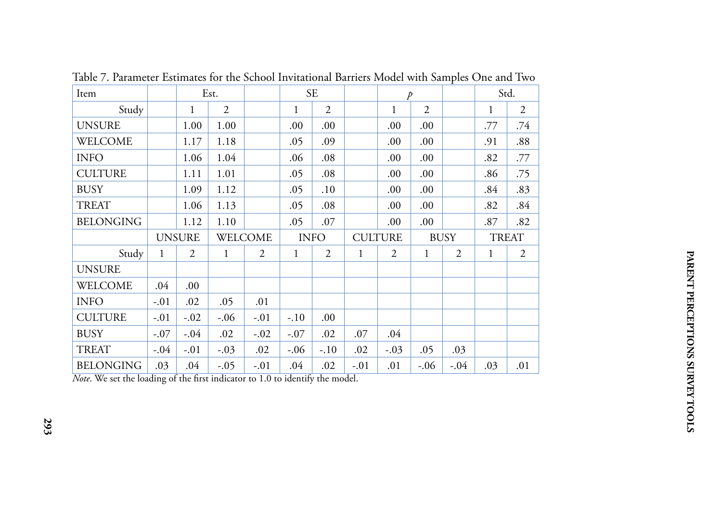| Item             |              |               | Est.    |        |              | <b>SE</b> |     | $\overline{p}$ |                |                |     | Std.           |
|------------------|--------------|---------------|---------|--------|--------------|-----------|-----|----------------|----------------|----------------|-----|----------------|
| Study            |              | 1             | 2       |        | 1            | 2         |     | $\mathbf{1}$   | $\overline{2}$ |                | 1   | $\overline{2}$ |
| <b>UNSURE</b>    |              | 1.00          | 1.00    |        | .00          | .00       |     | .00.           | .00            |                | .77 | .74            |
| <b>WELCOME</b>   |              | 1.17          | 1.18    |        | .05          | .09       |     | 00.            | .00            |                | .91 | .88            |
| <b>INFO</b>      |              | 1.06          | 1.04    |        | .06          | .08       |     | .00.           | .00            |                | .82 | .77            |
| <b>CULTURE</b>   |              | 1.11          | 1.01    |        | .05          | .08       |     | .00.           | .00.           |                | .86 | .75            |
| <b>BUSY</b>      |              | 1.09          | 1.12    |        | .05          | .10       |     | .00            | .00            |                | .84 | .83            |
| <b>TREAT</b>     |              | 1.06          | 1.13    |        | .05          | .08       |     | .00.           | .00            |                | .82 | .84            |
| <b>BELONGING</b> |              | 1.12          | 1.10    |        | .05          | .07       |     | .00.           | .00            |                | .87 | .82            |
|                  |              |               | WELCOME |        | <b>INFO</b>  |           |     |                |                |                |     |                |
|                  |              | <b>UNSURE</b> |         |        |              |           |     | <b>CULTURE</b> |                | <b>BUSY</b>    |     | <b>TREAT</b>   |
| Study            | $\mathbf{1}$ | 2             | 1       | 2      | $\mathbf{1}$ | 2         | 1   | 2              | 1              | $\overline{2}$ | 1   | 2              |
| <b>UNSURE</b>    |              |               |         |        |              |           |     |                |                |                |     |                |
| <b>WELCOME</b>   | .04          | .00           |         |        |              |           |     |                |                |                |     |                |
| <b>INFO</b>      | $-.01$       | .02           | .05     | .01    |              |           |     |                |                |                |     |                |
| <b>CULTURE</b>   | $-.01$       | $-.02$        | $-.06$  | $-.01$ | $-.10$       | .00       |     |                |                |                |     |                |
| <b>BUSY</b>      | $-.07$       | $-.04$        | .02     | $-.02$ | $-.07$       | .02       | .07 | .04            |                |                |     |                |
| <b>TREAT</b>     | $-.04$       | $-.01$        | $-.03$  | .02    | $-.06$       | $-.10$    | .02 | $-.03$         | .05            | .03            |     |                |

Table 7. Parameter Estimates for the School Invitational Barriers Model with Samples One and Two

*Note*. We set the loading of the first indicator to 1.0 to identify the model.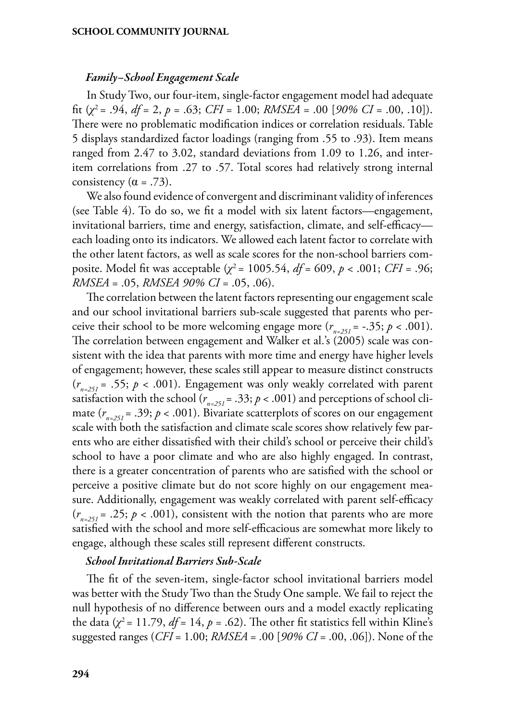#### *Family–School Engagement Scale*

In Study Two, our four-item, single-factor engagement model had adequate fit (*χ*<sup>2</sup> = .94, *df* = 2, *p* = .63; *CFI* = 1.00; *RMSEA* = .00 [*90% CI* = .00, .10]). There were no problematic modification indices or correlation residuals. Table 5 displays standardized factor loadings (ranging from .55 to .93). Item means ranged from 2.47 to 3.02, standard deviations from 1.09 to 1.26, and interitem correlations from .27 to .57. Total scores had relatively strong internal consistency  $(\alpha = .73)$ .

We also found evidence of convergent and discriminant validity of inferences (see Table 4). To do so, we fit a model with six latent factors—engagement, invitational barriers, time and energy, satisfaction, climate, and self-efficacy each loading onto its indicators. We allowed each latent factor to correlate with the other latent factors, as well as scale scores for the non-school barriers composite. Model fit was acceptable (*χ*<sup>2</sup> = 1005.54, *df* = 609, *p* < .001; *CFI* = .96; *RMSEA* = .05, *RMSEA 90% CI* = .05, .06).

The correlation between the latent factors representing our engagement scale and our school invitational barriers sub-scale suggested that parents who perceive their school to be more welcoming engage more  $(r_{n=251} = -.35; p < .001)$ . The correlation between engagement and Walker et al.'s (2005) scale was consistent with the idea that parents with more time and energy have higher levels of engagement; however, these scales still appear to measure distinct constructs  $(r_{n=251} = .55; p < .001)$ . Engagement was only weakly correlated with parent satisfaction with the school ( $r_{n=251} = .33; p < .001$ ) and perceptions of school climate  $(r_{\text{max}} = .39; p < .001)$ . Bivariate scatterplots of scores on our engagement scale with both the satisfaction and climate scale scores show relatively few parents who are either dissatisfied with their child's school or perceive their child's school to have a poor climate and who are also highly engaged. In contrast, there is a greater concentration of parents who are satisfied with the school or perceive a positive climate but do not score highly on our engagement measure. Additionally, engagement was weakly correlated with parent self-efficacy  $(r_{n=251} = .25; p < .001)$ , consistent with the notion that parents who are more satisfied with the school and more self-efficacious are somewhat more likely to engage, although these scales still represent different constructs.

#### *School Invitational Barriers Sub-Scale*

The fit of the seven-item, single-factor school invitational barriers model was better with the Study Two than the Study One sample. We fail to reject the null hypothesis of no difference between ours and a model exactly replicating the data  $(\chi^2 = 11.79, df = 14, p = .62)$ . The other fit statistics fell within Kline's suggested ranges (*CFI* = 1.00; *RMSEA* = .00 [*90% CI* = .00, .06]). None of the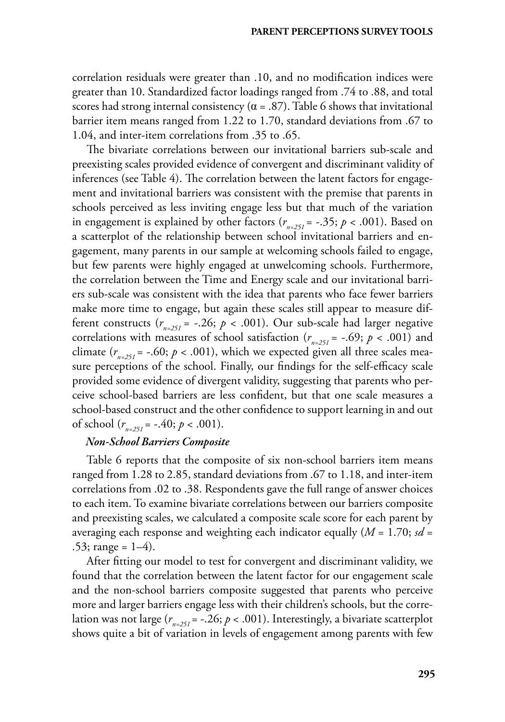correlation residuals were greater than .10, and no modification indices were greater than 10. Standardized factor loadings ranged from .74 to .88, and total scores had strong internal consistency ( $\alpha$  = .87). Table 6 shows that invitational barrier item means ranged from 1.22 to 1.70, standard deviations from .67 to 1.04, and inter-item correlations from .35 to .65.

The bivariate correlations between our invitational barriers sub-scale and preexisting scales provided evidence of convergent and discriminant validity of inferences (see Table 4). The correlation between the latent factors for engagement and invitational barriers was consistent with the premise that parents in schools perceived as less inviting engage less but that much of the variation in engagement is explained by other factors  $(r_{n=251} = -.35; p < .001)$ . Based on a scatterplot of the relationship between school invitational barriers and engagement, many parents in our sample at welcoming schools failed to engage, but few parents were highly engaged at unwelcoming schools. Furthermore, the correlation between the Time and Energy scale and our invitational barriers sub-scale was consistent with the idea that parents who face fewer barriers make more time to engage, but again these scales still appear to measure different constructs  $(r_{n-251} = -.26; p < .001)$ . Our sub-scale had larger negative correlations with measures of school satisfaction ( $r_{n=251}$  = -.69;  $p < .001$ ) and climate  $(r_{n-251} = -.60; p < .001)$ , which we expected given all three scales measure perceptions of the school. Finally, our findings for the self-efficacy scale provided some evidence of divergent validity, suggesting that parents who perceive school-based barriers are less confident, but that one scale measures a school-based construct and the other confidence to support learning in and out of school  $(r_{n-251} = -.40; p < .001)$ .

## *Non-School Barriers Composite*

Table 6 reports that the composite of six non-school barriers item means ranged from 1.28 to 2.85, standard deviations from .67 to 1.18, and inter-item correlations from .02 to .38. Respondents gave the full range of answer choices to each item. To examine bivariate correlations between our barriers composite and preexisting scales, we calculated a composite scale score for each parent by averaging each response and weighting each indicator equally (*M* = 1.70; *sd* = .53; range =  $1-4$ ).

After fitting our model to test for convergent and discriminant validity, we found that the correlation between the latent factor for our engagement scale and the non-school barriers composite suggested that parents who perceive more and larger barriers engage less with their children's schools, but the correlation was not large  $(r_{n=251} = -.26; p < .001)$ . Interestingly, a bivariate scatterplot shows quite a bit of variation in levels of engagement among parents with few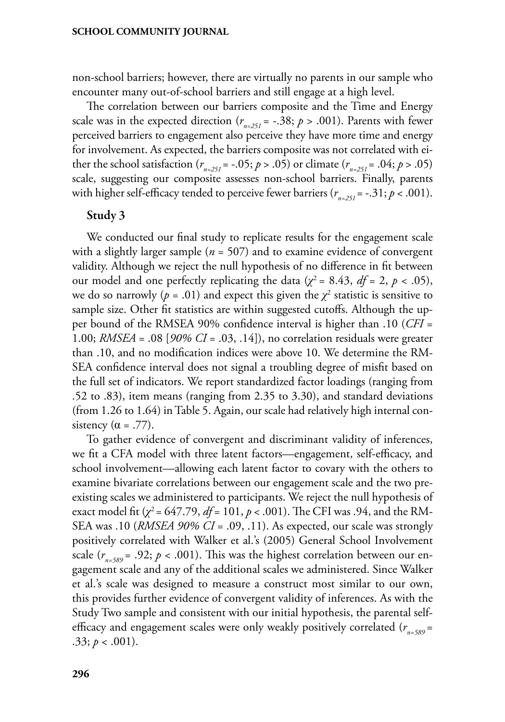non-school barriers; however, there are virtually no parents in our sample who encounter many out-of-school barriers and still engage at a high level.

The correlation between our barriers composite and the Time and Energy scale was in the expected direction ( $r_{n=251} = -.38; p > .001$ ). Parents with fewer perceived barriers to engagement also perceive they have more time and energy for involvement. As expected, the barriers composite was not correlated with either the school satisfaction  $(r_{n=251} = -.05; p > .05)$  or climate  $(r_{n=251} = .04; p > .05)$ scale, suggesting our composite assesses non-school barriers. Finally, parents with higher self-efficacy tended to perceive fewer barriers  $(r_{n-251} = -.31; p < .001)$ .

## Study 3

We conducted our final study to replicate results for the engagement scale with a slightly larger sample (*n* = 507) and to examine evidence of convergent validity. Although we reject the null hypothesis of no difference in fit between our model and one perfectly replicating the data ( $\chi^2$  = 8.43, *df* = 2, *p* < .05), we do so narrowly ( $p = .01$ ) and expect this given the  $\chi^2$  statistic is sensitive to sample size. Other fit statistics are within suggested cutoffs. Although the upper bound of the RMSEA 90% confidence interval is higher than .10 (*CFI* = 1.00; *RMSEA* = .08 [*90% CI* = .03, .14]), no correlation residuals were greater than .10, and no modification indices were above 10. We determine the RM-SEA confidence interval does not signal a troubling degree of misfit based on the full set of indicators. We report standardized factor loadings (ranging from .52 to .83), item means (ranging from 2.35 to 3.30), and standard deviations (from 1.26 to 1.64) in Table 5. Again, our scale had relatively high internal consistency ( $\alpha$  = .77).

To gather evidence of convergent and discriminant validity of inferences, we fit a CFA model with three latent factors—engagement, self-efficacy, and school involvement—allowing each latent factor to covary with the others to examine bivariate correlations between our engagement scale and the two preexisting scales we administered to participants. We reject the null hypothesis of exact model fit (*χ*2 = 647.79, *df* = 101, *p* < .001). The CFI was .94, and the RM-SEA was .10 (*RMSEA 90% CI* = .09, .11). As expected, our scale was strongly positively correlated with Walker et al.'s (2005) General School Involvement scale  $(r_{n=589} = .92; p < .001)$ . This was the highest correlation between our engagement scale and any of the additional scales we administered. Since Walker et al.'s scale was designed to measure a construct most similar to our own, this provides further evidence of convergent validity of inferences. As with the Study Two sample and consistent with our initial hypothesis, the parental selfefficacy and engagement scales were only weakly positively correlated ( $r_{n=589}$  = .33;  $p < .001$ ).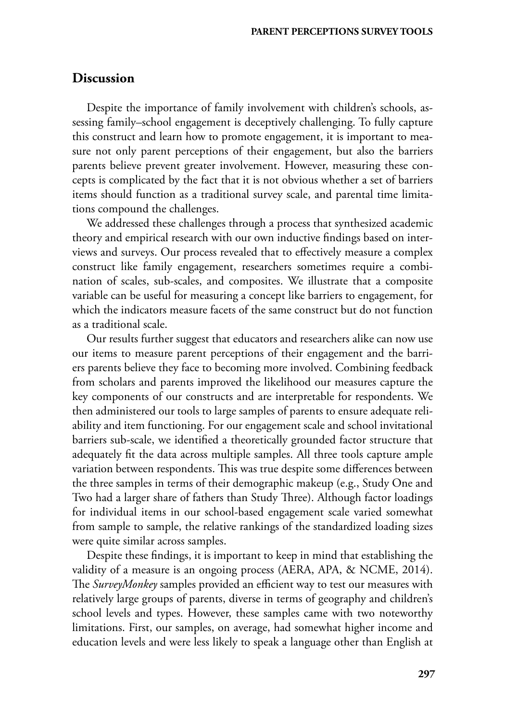## **Discussion**

Despite the importance of family involvement with children's schools, assessing family–school engagement is deceptively challenging. To fully capture this construct and learn how to promote engagement, it is important to measure not only parent perceptions of their engagement, but also the barriers parents believe prevent greater involvement. However, measuring these concepts is complicated by the fact that it is not obvious whether a set of barriers items should function as a traditional survey scale, and parental time limitations compound the challenges.

We addressed these challenges through a process that synthesized academic theory and empirical research with our own inductive findings based on interviews and surveys. Our process revealed that to effectively measure a complex construct like family engagement, researchers sometimes require a combination of scales, sub-scales, and composites. We illustrate that a composite variable can be useful for measuring a concept like barriers to engagement, for which the indicators measure facets of the same construct but do not function as a traditional scale.

Our results further suggest that educators and researchers alike can now use our items to measure parent perceptions of their engagement and the barriers parents believe they face to becoming more involved. Combining feedback from scholars and parents improved the likelihood our measures capture the key components of our constructs and are interpretable for respondents. We then administered our tools to large samples of parents to ensure adequate reliability and item functioning. For our engagement scale and school invitational barriers sub-scale, we identified a theoretically grounded factor structure that adequately fit the data across multiple samples. All three tools capture ample variation between respondents. This was true despite some differences between the three samples in terms of their demographic makeup (e.g., Study One and Two had a larger share of fathers than Study Three). Although factor loadings for individual items in our school-based engagement scale varied somewhat from sample to sample, the relative rankings of the standardized loading sizes were quite similar across samples.

Despite these findings, it is important to keep in mind that establishing the validity of a measure is an ongoing process (AERA, APA, & NCME, 2014). The *SurveyMonkey* samples provided an efficient way to test our measures with relatively large groups of parents, diverse in terms of geography and children's school levels and types. However, these samples came with two noteworthy limitations. First, our samples, on average, had somewhat higher income and education levels and were less likely to speak a language other than English at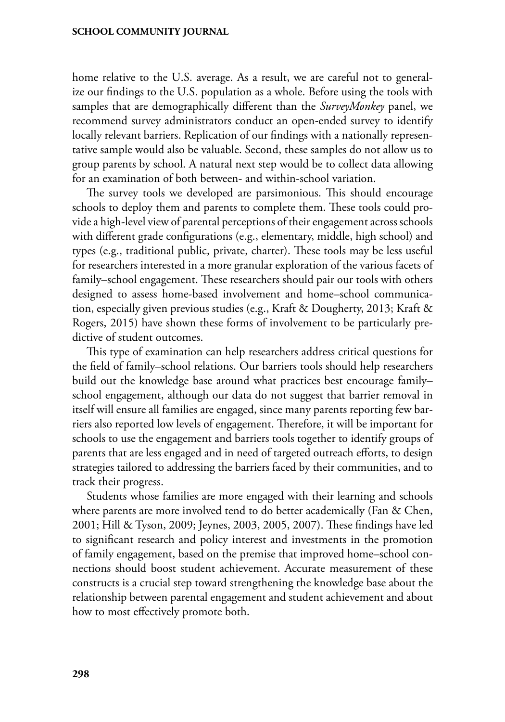home relative to the U.S. average. As a result, we are careful not to generalize our findings to the U.S. population as a whole. Before using the tools with samples that are demographically different than the *SurveyMonkey* panel, we recommend survey administrators conduct an open-ended survey to identify locally relevant barriers. Replication of our findings with a nationally representative sample would also be valuable. Second, these samples do not allow us to group parents by school. A natural next step would be to collect data allowing for an examination of both between- and within-school variation.

The survey tools we developed are parsimonious. This should encourage schools to deploy them and parents to complete them. These tools could provide a high-level view of parental perceptions of their engagement across schools with different grade configurations (e.g., elementary, middle, high school) and types (e.g., traditional public, private, charter). These tools may be less useful for researchers interested in a more granular exploration of the various facets of family–school engagement. These researchers should pair our tools with others designed to assess home-based involvement and home–school communication, especially given previous studies (e.g., Kraft & Dougherty, 2013; Kraft & Rogers, 2015) have shown these forms of involvement to be particularly predictive of student outcomes.

This type of examination can help researchers address critical questions for the field of family–school relations. Our barriers tools should help researchers build out the knowledge base around what practices best encourage family– school engagement, although our data do not suggest that barrier removal in itself will ensure all families are engaged, since many parents reporting few barriers also reported low levels of engagement. Therefore, it will be important for schools to use the engagement and barriers tools together to identify groups of parents that are less engaged and in need of targeted outreach efforts, to design strategies tailored to addressing the barriers faced by their communities, and to track their progress.

Students whose families are more engaged with their learning and schools where parents are more involved tend to do better academically (Fan & Chen, 2001; Hill & Tyson, 2009; Jeynes, 2003, 2005, 2007). These findings have led to significant research and policy interest and investments in the promotion of family engagement, based on the premise that improved home–school connections should boost student achievement. Accurate measurement of these constructs is a crucial step toward strengthening the knowledge base about the relationship between parental engagement and student achievement and about how to most effectively promote both.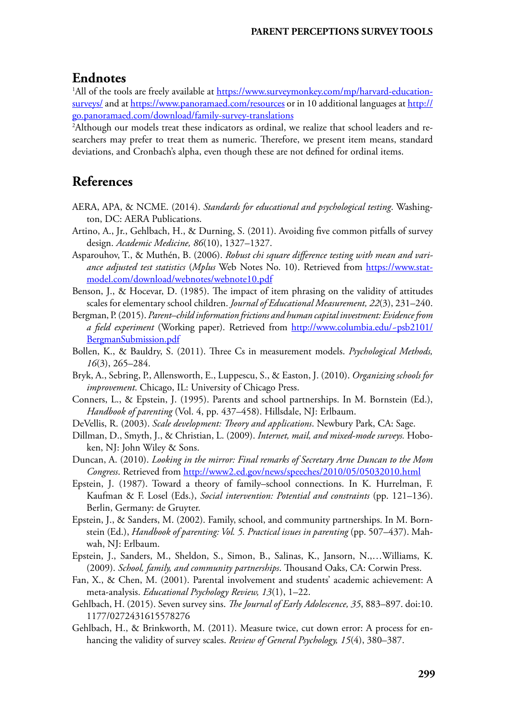## **Endnotes**

<sup>1</sup>All of the tools are freely available at <u>https://www.surveymonkey.com/mp/harvard-education-</u> [surveys/](https://www.surveymonkey.com/mp/harvard-education-surveys/) and at<https://www.panoramaed.com/resources> or in 10 additional languages at [http://](http://go.panoramaed.com/download/family-survey-translations) [go.panoramaed.com/download/family-survey-translations](http://go.panoramaed.com/download/family-survey-translations)

<sup>2</sup>Although our models treat these indicators as ordinal, we realize that school leaders and researchers may prefer to treat them as numeric. Therefore, we present item means, standard deviations, and Cronbach's alpha, even though these are not defined for ordinal items.

# **References**

- AERA, APA, & NCME. (2014). *Standards for educational and psychological testing*. Washington, DC: AERA Publications.
- Artino, A., Jr., Gehlbach, H., & Durning, S. (2011). Avoiding five common pitfalls of survey design. *Academic Medicine, 86*(10), 1327–1327.
- Asparouhov, T., & Muthén, B. (2006). *Robust chi square difference testing with mean and variance adjusted test statistics* (*Mplus* Web Notes No. 10). Retrieved from [https://www.stat](https://www.statmodel.com/download/webnotes/webnote10.pdf)[model.com/download/webnotes/webnote10.pdf](https://www.statmodel.com/download/webnotes/webnote10.pdf)
- Benson, J., & Hocevar, D. (1985). The impact of item phrasing on the validity of attitudes scales for elementary school children. *Journal of Educational Measurement, 22*(3), 231–240.
- Bergman, P. (2015). *Parent–child information frictions and human capital investment: Evidence from a field experiment* (Working paper). Retrieved from [http://www.columbia.edu/~psb2101/](http://www.columbia.edu/~psb2101/BergmanSubmission.pdf) [BergmanSubmission.pdf](http://www.columbia.edu/~psb2101/BergmanSubmission.pdf)
- Bollen, K., & Bauldry, S. (2011). Three Cs in measurement models. *Psychological Methods, 16*(3), 265–284.
- Bryk, A., Sebring, P., Allensworth, E., Luppescu, S., & Easton, J. (2010). *Organizing schools for improvement*. Chicago, IL: University of Chicago Press.
- Conners, L., & Epstein, J. (1995). Parents and school partnerships. In M. Bornstein (Ed.), *Handbook of parenting* (Vol. 4, pp. 437–458). Hillsdale, NJ: Erlbaum.
- DeVellis, R. (2003). *Scale development: Theory and applications*. Newbury Park, CA: Sage.
- Dillman, D., Smyth, J., & Christian, L. (2009). *Internet, mail, and mixed-mode surveys.* Hoboken, NJ: John Wiley & Sons.
- Duncan, A. (2010). *Looking in the mirror: Final remarks of Secretary Arne Duncan to the Mom Congress*. Retrieved from<http://www2.ed.gov/news/speeches/2010/05/05032010.html>
- Epstein, J. (1987). Toward a theory of family–school connections. In K. Hurrelman, F. Kaufman & F. Losel (Eds.), *Social intervention: Potential and constraints* (pp. 121–136). Berlin, Germany: de Gruyter.
- Epstein, J., & Sanders, M. (2002). Family, school, and community partnerships. In M. Bornstein (Ed.), *Handbook of parenting: Vol. 5. Practical issues in parenting* (pp. 507–437). Mahwah, NJ: Erlbaum.
- Epstein, J., Sanders, M., Sheldon, S., Simon, B., Salinas, K., Jansorn, N.,…Williams, K. (2009). *School, family, and community partnerships*. Thousand Oaks, CA: Corwin Press.
- Fan, X., & Chen, M. (2001). Parental involvement and students' academic achievement: A meta-analysis. *Educational Psychology Review, 13*(1), 1–22.
- Gehlbach, H. (2015). Seven survey sins. *The Journal of Early Adolescence, 35*, 883–897. doi:10. 1177/0272431615578276
- Gehlbach, H., & Brinkworth, M. (2011). Measure twice, cut down error: A process for enhancing the validity of survey scales. *Review of General Psychology, 15*(4), 380–387.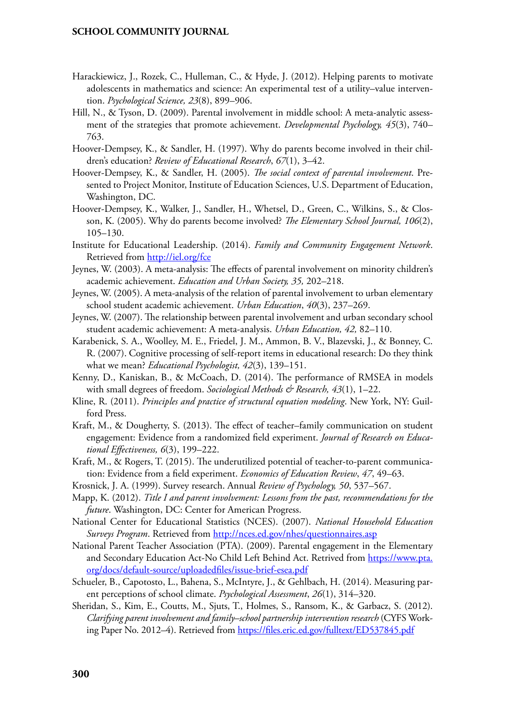- Harackiewicz, J., Rozek, C., Hulleman, C., & Hyde, J. (2012). Helping parents to motivate adolescents in mathematics and science: An experimental test of a utility–value intervention. *Psychological Science, 23*(8), 899–906.
- Hill, N., & Tyson, D. (2009). Parental involvement in middle school: A meta-analytic assessment of the strategies that promote achievement. *Developmental Psychology, 45*(3), 740– 763.
- Hoover-Dempsey, K., & Sandler, H. (1997). Why do parents become involved in their children's education? *Review of Educational Research*, *67*(1), 3–42.
- Hoover-Dempsey, K., & Sandler, H. (2005). *The social context of parental involvement*. Presented to Project Monitor, Institute of Education Sciences, U.S. Department of Education, Washington, DC.
- Hoover-Dempsey, K., Walker, J., Sandler, H., Whetsel, D., Green, C., Wilkins, S., & Closson, K. (2005). Why do parents become involved? *The Elementary School Journal, 106*(2), 105–130.
- Institute for Educational Leadership. (2014). *Family and Community Engagement Network*. Retrieved from <http://iel.org/fce>
- Jeynes, W. (2003). A meta-analysis: The effects of parental involvement on minority children's academic achievement. *Education and Urban Society, 35,* 202–218.
- Jeynes, W. (2005). A meta-analysis of the relation of parental involvement to urban elementary school student academic achievement. *Urban Education*, *40*(3), 237–269.
- Jeynes, W. (2007). The relationship between parental involvement and urban secondary school student academic achievement: A meta-analysis. *Urban Education, 42,* 82–110.
- Karabenick, S. A., Woolley, M. E., Friedel, J. M., Ammon, B. V., Blazevski, J., & Bonney, C. R. (2007). Cognitive processing of self-report items in educational research: Do they think what we mean? *Educational Psychologist, 42*(3), 139–151.
- Kenny, D., Kaniskan, B., & McCoach, D. (2014). The performance of RMSEA in models with small degrees of freedom. *Sociological Methods & Research, 43*(1), 1–22.
- Kline, R. (2011). *Principles and practice of structural equation modeling*. New York, NY: Guilford Press.
- Kraft, M., & Dougherty, S. (2013). The effect of teacher–family communication on student engagement: Evidence from a randomized field experiment. *Journal of Research on Educational Effectiveness, 6*(3), 199–222.
- Kraft, M., & Rogers, T. (2015). The underutilized potential of teacher-to-parent communication: Evidence from a field experiment. *Economics of Education Review*, *47*, 49–63.
- Krosnick, J. A. (1999). Survey research. Annual *Review of Psychology, 50*, 537–567.
- Mapp, K. (2012). *Title I and parent involvement: Lessons from the past, recommendations for the future*. Washington, DC: Center for American Progress.
- National Center for Educational Statistics (NCES). (2007). *National Household Education Surveys Program*. Retrieved from <http://nces.ed.gov/nhes/questionnaires.asp>
- National Parent Teacher Association (PTA). (2009). Parental engagement in the Elementary and Secondary Education Act-No Child Left Behind Act. Retrived from [https://www.pta.](https://www.pta.org/docs/default-source/uploadedfiles/issue-brief-esea.pdf) [org/docs/default-source/uploadedfiles/issue-brief-esea.pdf](https://www.pta.org/docs/default-source/uploadedfiles/issue-brief-esea.pdf)
- Schueler, B., Capotosto, L., Bahena, S., McIntyre, J., & Gehlbach, H. (2014). Measuring parent perceptions of school climate. *Psychological Assessment*, *26*(1), 314–320.
- Sheridan, S., Kim, E., Coutts, M., Sjuts, T., Holmes, S., Ransom, K., & Garbacz, S. (2012). *Clarifying parent involvement and family–school partnership intervention research* (CYFS Working Paper No. 2012–4). Retrieved from<https://files.eric.ed.gov/fulltext/ED537845.pdf>